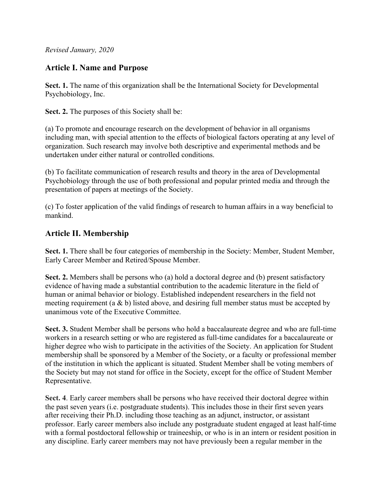*Revised January, 2020*

## **Article I. Name and Purpose**

**Sect. 1.** The name of this organization shall be the International Society for Developmental Psychobiology, Inc.

**Sect. 2.** The purposes of this Society shall be:

(a) To promote and encourage research on the development of behavior in all organisms including man, with special attention to the effects of biological factors operating at any level of organization. Such research may involve both descriptive and experimental methods and be undertaken under either natural or controlled conditions.

(b) To facilitate communication of research results and theory in the area of Developmental Psychobiology through the use of both professional and popular printed media and through the presentation of papers at meetings of the Society.

(c) To foster application of the valid findings of research to human affairs in a way beneficial to mankind.

### **Article II. Membership**

**Sect. 1.** There shall be four categories of membership in the Society: Member, Student Member, Early Career Member and Retired/Spouse Member.

**Sect. 2.** Members shall be persons who (a) hold a doctoral degree and (b) present satisfactory evidence of having made a substantial contribution to the academic literature in the field of human or animal behavior or biology. Established independent researchers in the field not meeting requirement (a & b) listed above, and desiring full member status must be accepted by unanimous vote of the Executive Committee.

**Sect. 3.** Student Member shall be persons who hold a baccalaureate degree and who are full-time workers in a research setting or who are registered as full-time candidates for a baccalaureate or higher degree who wish to participate in the activities of the Society. An application for Student membership shall be sponsored by a Member of the Society, or a faculty or professional member of the institution in which the applicant is situated. Student Member shall be voting members of the Society but may not stand for office in the Society, except for the office of Student Member Representative.

**Sect. 4**. Early career members shall be persons who have received their doctoral degree within the past seven years (i.e. postgraduate students). This includes those in their first seven years after receiving their Ph.D. including those teaching as an adjunct, instructor, or assistant professor. Early career members also include any postgraduate student engaged at least half-time with a formal postdoctoral fellowship or traineeship, or who is in an intern or resident position in any discipline. Early career members may not have previously been a regular member in the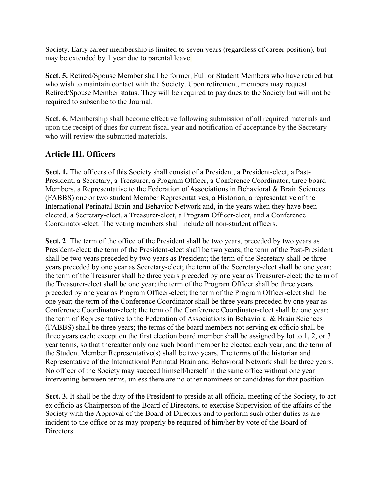Society. Early career membership is limited to seven years (regardless of career position), but may be extended by 1 year due to parental leave.

**Sect. 5.** Retired/Spouse Member shall be former, Full or Student Members who have retired but who wish to maintain contact with the Society. Upon retirement, members may request Retired/Spouse Member status. They will be required to pay dues to the Society but will not be required to subscribe to the Journal.

**Sect. 6.** Membership shall become effective following submission of all required materials and upon the receipt of dues for current fiscal year and notification of acceptance by the Secretary who will review the submitted materials.

# **Article III. Officers**

**Sect. 1.** The officers of this Society shall consist of a President, a President-elect, a Past-President, a Secretary, a Treasurer, a Program Officer, a Conference Coordinator, three board Members, a Representative to the Federation of Associations in Behavioral & Brain Sciences (FABBS) one or two student Member Representatives, a Historian, a representative of the International Perinatal Brain and Behavior Network and, in the years when they have been elected, a Secretary-elect, a Treasurer-elect, a Program Officer-elect, and a Conference Coordinator-elect. The voting members shall include all non-student officers.

**Sect. 2**. The term of the office of the President shall be two years, preceded by two years as President-elect; the term of the President-elect shall be two years; the term of the Past-President shall be two years preceded by two years as President; the term of the Secretary shall be three years preceded by one year as Secretary-elect; the term of the Secretary-elect shall be one year; the term of the Treasurer shall be three years preceded by one year as Treasurer-elect; the term of the Treasurer-elect shall be one year; the term of the Program Officer shall be three years preceded by one year as Program Officer-elect; the term of the Program Officer-elect shall be one year; the term of the Conference Coordinator shall be three years preceded by one year as Conference Coordinator-elect; the term of the Conference Coordinator-elect shall be one year: the term of Representative to the Federation of Associations in Behavioral & Brain Sciences (FABBS) shall be three years; the terms of the board members not serving ex officio shall be three years each; except on the first election board member shall be assigned by lot to 1, 2, or 3 year terms, so that thereafter only one such board member be elected each year, and the term of the Student Member Representative(s) shall be two years. The terms of the historian and Representative of the International Perinatal Brain and Behavioral Network shall be three years. No officer of the Society may succeed himself/herself in the same office without one year intervening between terms, unless there are no other nominees or candidates for that position.

**Sect. 3.** It shall be the duty of the President to preside at all official meeting of the Society, to act ex officio as Chairperson of the Board of Directors, to exercise Supervision of the affairs of the Society with the Approval of the Board of Directors and to perform such other duties as are incident to the office or as may properly be required of him/her by vote of the Board of **Directors**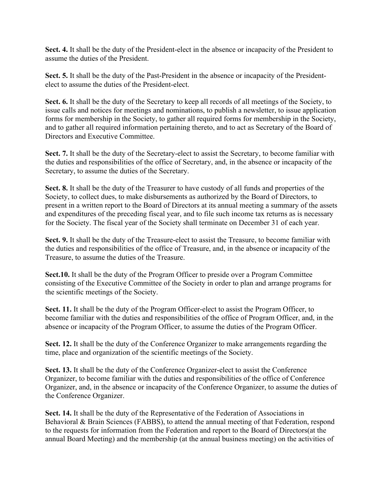**Sect. 4.** It shall be the duty of the President-elect in the absence or incapacity of the President to assume the duties of the President.

**Sect. 5.** It shall be the duty of the Past-President in the absence or incapacity of the Presidentelect to assume the duties of the President-elect.

**Sect. 6.** It shall be the duty of the Secretary to keep all records of all meetings of the Society, to issue calls and notices for meetings and nominations, to publish a newsletter, to issue application forms for membership in the Society, to gather all required forms for membership in the Society, and to gather all required information pertaining thereto, and to act as Secretary of the Board of Directors and Executive Committee.

**Sect. 7.** It shall be the duty of the Secretary-elect to assist the Secretary, to become familiar with the duties and responsibilities of the office of Secretary, and, in the absence or incapacity of the Secretary, to assume the duties of the Secretary.

**Sect. 8.** It shall be the duty of the Treasurer to have custody of all funds and properties of the Society, to collect dues, to make disbursements as authorized by the Board of Directors, to present in a written report to the Board of Directors at its annual meeting a summary of the assets and expenditures of the preceding fiscal year, and to file such income tax returns as is necessary for the Society. The fiscal year of the Society shall terminate on December 31 of each year.

**Sect. 9.** It shall be the duty of the Treasure-elect to assist the Treasure, to become familiar with the duties and responsibilities of the office of Treasure, and, in the absence or incapacity of the Treasure, to assume the duties of the Treasure.

**Sect.10.** It shall be the duty of the Program Officer to preside over a Program Committee consisting of the Executive Committee of the Society in order to plan and arrange programs for the scientific meetings of the Society.

Sect. 11. It shall be the duty of the Program Officer-elect to assist the Program Officer, to become familiar with the duties and responsibilities of the office of Program Officer, and, in the absence or incapacity of the Program Officer, to assume the duties of the Program Officer.

**Sect. 12.** It shall be the duty of the Conference Organizer to make arrangements regarding the time, place and organization of the scientific meetings of the Society.

**Sect. 13.** It shall be the duty of the Conference Organizer-elect to assist the Conference Organizer, to become familiar with the duties and responsibilities of the office of Conference Organizer, and, in the absence or incapacity of the Conference Organizer, to assume the duties of the Conference Organizer.

**Sect. 14.** It shall be the duty of the Representative of the Federation of Associations in Behavioral & Brain Sciences (FABBS), to attend the annual meeting of that Federation, respond to the requests for information from the Federation and report to the Board of Directors(at the annual Board Meeting) and the membership (at the annual business meeting) on the activities of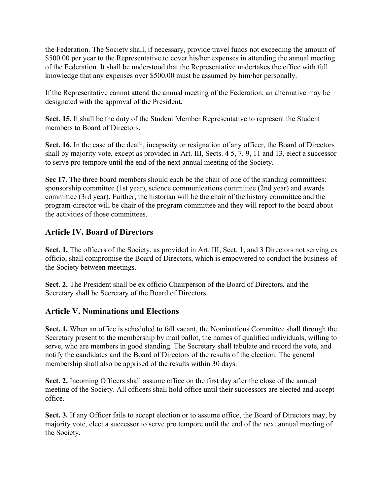the Federation. The Society shall, if necessary, provide travel funds not exceeding the amount of \$500.00 per year to the Representative to cover his/her expenses in attending the annual meeting of the Federation. It shall be understood that the Representative undertakes the office with full knowledge that any expenses over \$500.00 must be assumed by him/her personally.

If the Representative cannot attend the annual meeting of the Federation, an alternative may be designated with the approval of the President.

**Sect. 15.** It shall be the duty of the Student Member Representative to represent the Student members to Board of Directors.

**Sect. 16.** In the case of the death, incapacity or resignation of any officer, the Board of Directors shall by majority vote, except as provided in Art. III, Sects. 4 5, 7, 9, 11 and 13, elect a successor to serve pro tempore until the end of the next annual meeting of the Society.

**Sec 17.** The three board members should each be the chair of one of the standing committees: sponsorship committee (1st year), science communications committee (2nd year) and awards committee (3rd year). Further, the historian will be the chair of the history committee and the program-director will be chair of the program committee and they will report to the board about the activities of those committees.

## **Article IV. Board of Directors**

**Sect. 1.** The officers of the Society, as provided in Art. III, Sect. 1, and 3 Directors not serving ex officio, shall compromise the Board of Directors, which is empowered to conduct the business of the Society between meetings.

**Sect. 2.** The President shall be ex officio Chairperson of the Board of Directors, and the Secretary shall be Secretary of the Board of Directors.

### **Article V. Nominations and Elections**

**Sect. 1.** When an office is scheduled to fall vacant, the Nominations Committee shall through the Secretary present to the membership by mail ballot, the names of qualified individuals, willing to serve, who are members in good standing. The Secretary shall tabulate and record the vote, and notify the candidates and the Board of Directors of the results of the election. The general membership shall also be apprised of the results within 30 days.

**Sect. 2.** Incoming Officers shall assume office on the first day after the close of the annual meeting of the Society. All officers shall hold office until their successors are elected and accept office.

**Sect. 3.** If any Officer fails to accept election or to assume office, the Board of Directors may, by majority vote, elect a successor to serve pro tempore until the end of the next annual meeting of the Society.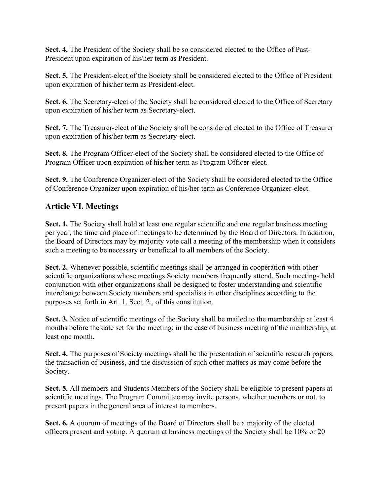**Sect. 4.** The President of the Society shall be so considered elected to the Office of Past-President upon expiration of his/her term as President.

**Sect. 5.** The President-elect of the Society shall be considered elected to the Office of President upon expiration of his/her term as President-elect.

**Sect. 6.** The Secretary-elect of the Society shall be considered elected to the Office of Secretary upon expiration of his/her term as Secretary-elect.

**Sect. 7.** The Treasurer-elect of the Society shall be considered elected to the Office of Treasurer upon expiration of his/her term as Secretary-elect.

**Sect. 8.** The Program Officer-elect of the Society shall be considered elected to the Office of Program Officer upon expiration of his/her term as Program Officer-elect.

**Sect. 9.** The Conference Organizer-elect of the Society shall be considered elected to the Office of Conference Organizer upon expiration of his/her term as Conference Organizer-elect.

# **Article VI. Meetings**

**Sect. 1.** The Society shall hold at least one regular scientific and one regular business meeting per year, the time and place of meetings to be determined by the Board of Directors. In addition, the Board of Directors may by majority vote call a meeting of the membership when it considers such a meeting to be necessary or beneficial to all members of the Society.

**Sect. 2.** Whenever possible, scientific meetings shall be arranged in cooperation with other scientific organizations whose meetings Society members frequently attend. Such meetings held conjunction with other organizations shall be designed to foster understanding and scientific interchange between Society members and specialists in other disciplines according to the purposes set forth in Art. 1, Sect. 2., of this constitution.

**Sect. 3.** Notice of scientific meetings of the Society shall be mailed to the membership at least 4 months before the date set for the meeting; in the case of business meeting of the membership, at least one month.

**Sect. 4.** The purposes of Society meetings shall be the presentation of scientific research papers, the transaction of business, and the discussion of such other matters as may come before the Society.

**Sect. 5.** All members and Students Members of the Society shall be eligible to present papers at scientific meetings. The Program Committee may invite persons, whether members or not, to present papers in the general area of interest to members.

**Sect. 6.** A quorum of meetings of the Board of Directors shall be a majority of the elected officers present and voting. A quorum at business meetings of the Society shall be 10% or 20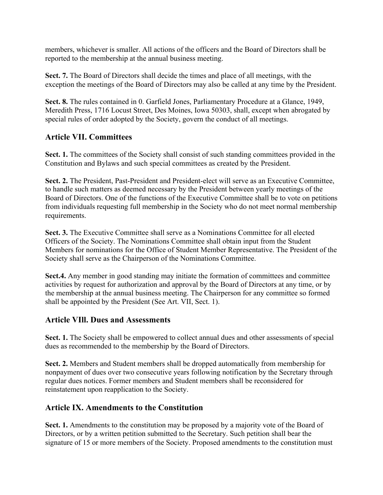members, whichever is smaller. All actions of the officers and the Board of Directors shall be reported to the membership at the annual business meeting.

**Sect. 7.** The Board of Directors shall decide the times and place of all meetings, with the exception the meetings of the Board of Directors may also be called at any time by the President.

**Sect. 8.** The rules contained in 0. Garfield Jones, Parliamentary Procedure at a Glance, 1949, Meredith Press, 1716 Locust Street, Des Moines, Iowa 50303, shall, except when abrogated by special rules of order adopted by the Society, govern the conduct of all meetings.

# **Article VII. Committees**

Sect. 1. The committees of the Society shall consist of such standing committees provided in the Constitution and Bylaws and such special committees as created by the President.

**Sect. 2.** The President, Past-President and President-elect will serve as an Executive Committee, to handle such matters as deemed necessary by the President between yearly meetings of the Board of Directors. One of the functions of the Executive Committee shall be to vote on petitions from individuals requesting full membership in the Society who do not meet normal membership requirements.

**Sect. 3.** The Executive Committee shall serve as a Nominations Committee for all elected Officers of the Society. The Nominations Committee shall obtain input from the Student Members for nominations for the Office of Student Member Representative. The President of the Society shall serve as the Chairperson of the Nominations Committee.

**Sect.4.** Any member in good standing may initiate the formation of committees and committee activities by request for authorization and approval by the Board of Directors at any time, or by the membership at the annual business meeting. The Chairperson for any committee so formed shall be appointed by the President (See Art. VII, Sect. 1).

# **Article VIll. Dues and Assessments**

**Sect. 1.** The Society shall be empowered to collect annual dues and other assessments of special dues as recommended to the membership by the Board of Directors.

**Sect. 2.** Members and Student members shall be dropped automatically from membership for nonpayment of dues over two consecutive years following notification by the Secretary through regular dues notices. Former members and Student members shall be reconsidered for reinstatement upon reapplication to the Society.

# **Article IX. Amendments to the Constitution**

**Sect. 1.** Amendments to the constitution may be proposed by a majority vote of the Board of Directors, or by a written petition submitted to the Secretary. Such petition shall bear the signature of 15 or more members of the Society. Proposed amendments to the constitution must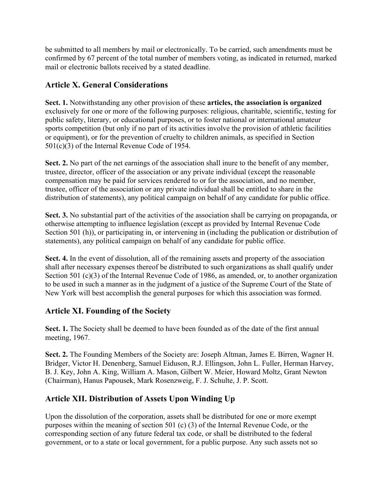be submitted to all members by mail or electronically. To be carried, such amendments must be confirmed by 67 percent of the total number of members voting, as indicated in returned, marked mail or electronic ballots received by a stated deadline.

# **Article X. General Considerations**

**Sect. 1.** Notwithstanding any other provision of these **articles, the association is organized**  exclusively for one or more of the following purposes: religious, charitable, scientific, testing for public safety, literary, or educational purposes, or to foster national or international amateur sports competition (but only if no part of its activities involve the provision of athletic facilities or equipment), or for the prevention of cruelty to children animals, as specified in Section 501(c)(3) of the Internal Revenue Code of 1954.

**Sect. 2.** No part of the net earnings of the association shall inure to the benefit of any member, trustee, director, officer of the association or any private individual (except the reasonable compensation may be paid for services rendered to or for the association, and no member, trustee, officer of the association or any private individual shall be entitled to share in the distribution of statements), any political campaign on behalf of any candidate for public office.

**Sect. 3.** No substantial part of the activities of the association shall be carrying on propaganda, or otherwise attempting to influence legislation (except as provided by Internal Revenue Code Section 501 (h)), or participating in, or intervening in (including the publication or distribution of statements), any political campaign on behalf of any candidate for public office.

**Sect. 4.** In the event of dissolution, all of the remaining assets and property of the association shall after necessary expenses thereof be distributed to such organizations as shall qualify under Section 501 (c)(3) of the Internal Revenue Code of 1986, as amended, or, to another organization to be used in such a manner as in the judgment of a justice of the Supreme Court of the State of New York will best accomplish the general purposes for which this association was formed.

# **Article XI. Founding of the Society**

**Sect. 1.** The Society shall be deemed to have been founded as of the date of the first annual meeting, 1967.

**Sect. 2.** The Founding Members of the Society are: Joseph Altman, James E. Birren, Wagner H. Bridger, Victor H. Denenberg, Samuel Eiduson, R.J. Ellingson, John L. Fuller, Herman Harvey, B. J. Key, John A. King, William A. Mason, Gilbert W. Meier, Howard Moltz, Grant Newton (Chairman), Hanus Papousek, Mark Rosenzweig, F. J. Schulte, J. P. Scott.

# **Article XII. Distribution of Assets Upon Winding Up**

Upon the dissolution of the corporation, assets shall be distributed for one or more exempt purposes within the meaning of section 501 (c) (3) of the Internal Revenue Code, or the corresponding section of any future federal tax code, or shall be distributed to the federal government, or to a state or local government, for a public purpose. Any such assets not so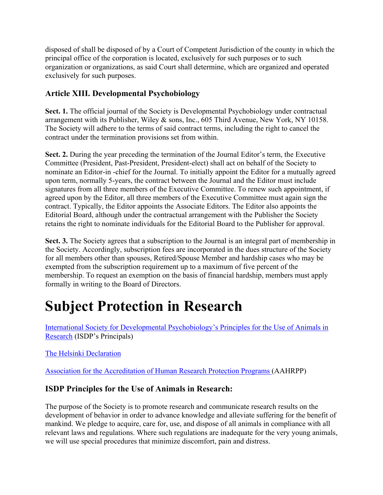disposed of shall be disposed of by a Court of Competent Jurisdiction of the county in which the principal office of the corporation is located, exclusively for such purposes or to such organization or organizations, as said Court shall determine, which are organized and operated exclusively for such purposes.

# **Article XIII. Developmental Psychobiology**

Sect. 1. The official journal of the Society is Developmental Psychobiology under contractual arrangement with its Publisher, Wiley & sons, Inc., 605 Third Avenue, New York, NY 10158. The Society will adhere to the terms of said contract terms, including the right to cancel the contract under the termination provisions set from within.

**Sect. 2.** During the year preceding the termination of the Journal Editor's term, the Executive Committee (President, Past-President, President-elect) shall act on behalf of the Society to nominate an Editor-in -chief for the Journal. To initially appoint the Editor for a mutually agreed upon term, normally 5-years, the contract between the Journal and the Editor must include signatures from all three members of the Executive Committee. To renew such appointment, if agreed upon by the Editor, all three members of the Executive Committee must again sign the contract. Typically, the Editor appoints the Associate Editors. The Editor also appoints the Editorial Board, although under the contractual arrangement with the Publisher the Society retains the right to nominate individuals for the Editorial Board to the Publisher for approval.

**Sect. 3.** The Society agrees that a subscription to the Journal is an integral part of membership in the Society. Accordingly, subscription fees are incorporated in the dues structure of the Society for all members other than spouses, Retired/Spouse Member and hardship cases who may be exempted from the subscription requirement up to a maximum of five percent of the membership. To request an exemption on the basis of financial hardship, members must apply formally in writing to the Board of Directors.

# **Subject Protection in Research**

International Society for Developmental Psychobiology's Principles for the Use of Animals in Research (ISDP's Principals)

### The Helsinki Declaration

Association for the Accreditation of Human Research Protection Programs (AAHRPP)

# **ISDP Principles for the Use of Animals in Research:**

The purpose of the Society is to promote research and communicate research results on the development of behavior in order to advance knowledge and alleviate suffering for the benefit of mankind. We pledge to acquire, care for, use, and dispose of all animals in compliance with all relevant laws and regulations. Where such regulations are inadequate for the very young animals, we will use special procedures that minimize discomfort, pain and distress.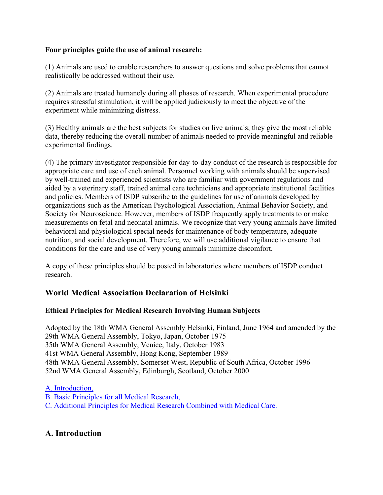### **Four principles guide the use of animal research:**

(1) Animals are used to enable researchers to answer questions and solve problems that cannot realistically be addressed without their use.

(2) Animals are treated humanely during all phases of research. When experimental procedure requires stressful stimulation, it will be applied judiciously to meet the objective of the experiment while minimizing distress.

(3) Healthy animals are the best subjects for studies on live animals; they give the most reliable data, thereby reducing the overall number of animals needed to provide meaningful and reliable experimental findings.

(4) The primary investigator responsible for day-to-day conduct of the research is responsible for appropriate care and use of each animal. Personnel working with animals should be supervised by well-trained and experienced scientists who are familiar with government regulations and aided by a veterinary staff, trained animal care technicians and appropriate institutional facilities and policies. Members of ISDP subscribe to the guidelines for use of animals developed by organizations such as the American Psychological Association, Animal Behavior Society, and Society for Neuroscience. However, members of ISDP frequently apply treatments to or make measurements on fetal and neonatal animals. We recognize that very young animals have limited behavioral and physiological special needs for maintenance of body temperature, adequate nutrition, and social development. Therefore, we will use additional vigilance to ensure that conditions for the care and use of very young animals minimize discomfort.

A copy of these principles should be posted in laboratories where members of ISDP conduct research.

# **World Medical Association Declaration of Helsinki**

### **Ethical Principles for Medical Research Involving Human Subjects**

Adopted by the 18th WMA General Assembly Helsinki, Finland, June 1964 and amended by the 29th WMA General Assembly, Tokyo, Japan, October 1975 35th WMA General Assembly, Venice, Italy, October 1983 41st WMA General Assembly, Hong Kong, September 1989 48th WMA General Assembly, Somerset West, Republic of South Africa, October 1996 52nd WMA General Assembly, Edinburgh, Scotland, October 2000

A. Introduction, B. Basic Principles for all Medical Research, C. Additional Principles for Medical Research Combined with Medical Care.

# **A. Introduction**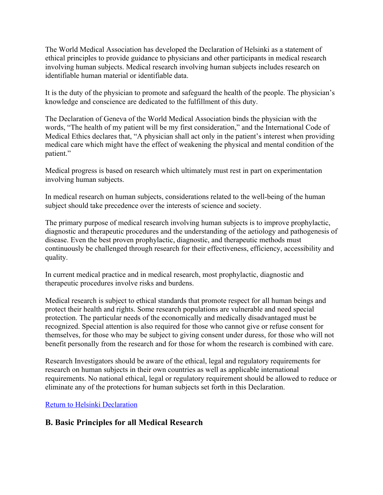The World Medical Association has developed the Declaration of Helsinki as a statement of ethical principles to provide guidance to physicians and other participants in medical research involving human subjects. Medical research involving human subjects includes research on identifiable human material or identifiable data.

It is the duty of the physician to promote and safeguard the health of the people. The physician's knowledge and conscience are dedicated to the fulfillment of this duty.

The Declaration of Geneva of the World Medical Association binds the physician with the words, "The health of my patient will be my first consideration," and the International Code of Medical Ethics declares that, "A physician shall act only in the patient's interest when providing medical care which might have the effect of weakening the physical and mental condition of the patient."

Medical progress is based on research which ultimately must rest in part on experimentation involving human subjects.

In medical research on human subjects, considerations related to the well-being of the human subject should take precedence over the interests of science and society.

The primary purpose of medical research involving human subjects is to improve prophylactic, diagnostic and therapeutic procedures and the understanding of the aetiology and pathogenesis of disease. Even the best proven prophylactic, diagnostic, and therapeutic methods must continuously be challenged through research for their effectiveness, efficiency, accessibility and quality.

In current medical practice and in medical research, most prophylactic, diagnostic and therapeutic procedures involve risks and burdens.

Medical research is subject to ethical standards that promote respect for all human beings and protect their health and rights. Some research populations are vulnerable and need special protection. The particular needs of the economically and medically disadvantaged must be recognized. Special attention is also required for those who cannot give or refuse consent for themselves, for those who may be subject to giving consent under duress, for those who will not benefit personally from the research and for those for whom the research is combined with care.

Research Investigators should be aware of the ethical, legal and regulatory requirements for research on human subjects in their own countries as well as applicable international requirements. No national ethical, legal or regulatory requirement should be allowed to reduce or eliminate any of the protections for human subjects set forth in this Declaration.

### Return to Helsinki Declaration

### **B. Basic Principles for all Medical Research**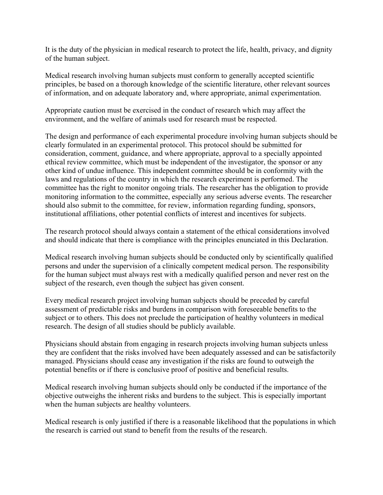It is the duty of the physician in medical research to protect the life, health, privacy, and dignity of the human subject.

Medical research involving human subjects must conform to generally accepted scientific principles, be based on a thorough knowledge of the scientific literature, other relevant sources of information, and on adequate laboratory and, where appropriate, animal experimentation.

Appropriate caution must be exercised in the conduct of research which may affect the environment, and the welfare of animals used for research must be respected.

The design and performance of each experimental procedure involving human subjects should be clearly formulated in an experimental protocol. This protocol should be submitted for consideration, comment, guidance, and where appropriate, approval to a specially appointed ethical review committee, which must be independent of the investigator, the sponsor or any other kind of undue influence. This independent committee should be in conformity with the laws and regulations of the country in which the research experiment is performed. The committee has the right to monitor ongoing trials. The researcher has the obligation to provide monitoring information to the committee, especially any serious adverse events. The researcher should also submit to the committee, for review, information regarding funding, sponsors, institutional affiliations, other potential conflicts of interest and incentives for subjects.

The research protocol should always contain a statement of the ethical considerations involved and should indicate that there is compliance with the principles enunciated in this Declaration.

Medical research involving human subjects should be conducted only by scientifically qualified persons and under the supervision of a clinically competent medical person. The responsibility for the human subject must always rest with a medically qualified person and never rest on the subject of the research, even though the subject has given consent.

Every medical research project involving human subjects should be preceded by careful assessment of predictable risks and burdens in comparison with foreseeable benefits to the subject or to others. This does not preclude the participation of healthy volunteers in medical research. The design of all studies should be publicly available.

Physicians should abstain from engaging in research projects involving human subjects unless they are confident that the risks involved have been adequately assessed and can be satisfactorily managed. Physicians should cease any investigation if the risks are found to outweigh the potential benefits or if there is conclusive proof of positive and beneficial results.

Medical research involving human subjects should only be conducted if the importance of the objective outweighs the inherent risks and burdens to the subject. This is especially important when the human subjects are healthy volunteers.

Medical research is only justified if there is a reasonable likelihood that the populations in which the research is carried out stand to benefit from the results of the research.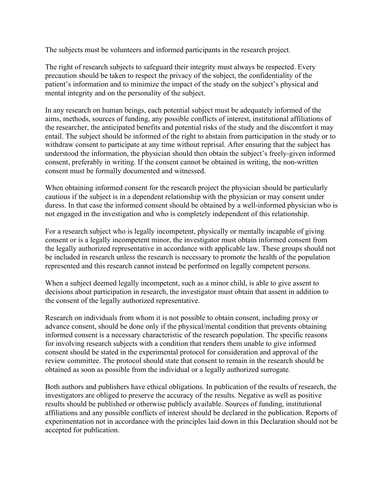The subjects must be volunteers and informed participants in the research project.

The right of research subjects to safeguard their integrity must always be respected. Every precaution should be taken to respect the privacy of the subject, the confidentiality of the patient's information and to minimize the impact of the study on the subject's physical and mental integrity and on the personality of the subject.

In any research on human beings, each potential subject must be adequately informed of the aims, methods, sources of funding, any possible conflicts of interest, institutional affiliations of the researcher, the anticipated benefits and potential risks of the study and the discomfort it may entail. The subject should be informed of the right to abstain from participation in the study or to withdraw consent to participate at any time without reprisal. After ensuring that the subject has understood the information, the physician should then obtain the subject's freely-given informed consent, preferably in writing. If the consent cannot be obtained in writing, the non-written consent must be formally documented and witnessed.

When obtaining informed consent for the research project the physician should be particularly cautious if the subject is in a dependent relationship with the physician or may consent under duress. In that case the informed consent should be obtained by a well-informed physician who is not engaged in the investigation and who is completely independent of this relationship.

For a research subject who is legally incompetent, physically or mentally incapable of giving consent or is a legally incompetent minor, the investigator must obtain informed consent from the legally authorized representative in accordance with applicable law. These groups should not be included in research unless the research is necessary to promote the health of the population represented and this research cannot instead be performed on legally competent persons.

When a subject deemed legally incompetent, such as a minor child, is able to give assent to decisions about participation in research, the investigator must obtain that assent in addition to the consent of the legally authorized representative.

Research on individuals from whom it is not possible to obtain consent, including proxy or advance consent, should be done only if the physical/mental condition that prevents obtaining informed consent is a necessary characteristic of the research population. The specific reasons for involving research subjects with a condition that renders them unable to give informed consent should be stated in the experimental protocol for consideration and approval of the review committee. The protocol should state that consent to remain in the research should be obtained as soon as possible from the individual or a legally authorized surrogate.

Both authors and publishers have ethical obligations. In publication of the results of research, the investigators are obliged to preserve the accuracy of the results. Negative as well as positive results should be published or otherwise publicly available. Sources of funding, institutional affiliations and any possible conflicts of interest should be declared in the publication. Reports of experimentation not in accordance with the principles laid down in this Declaration should not be accepted for publication.